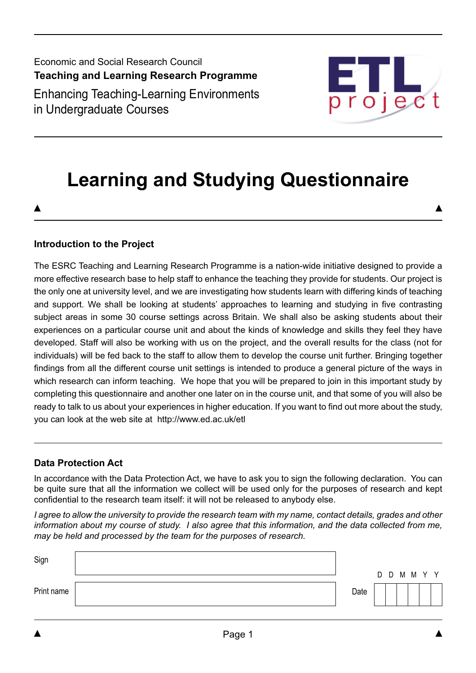Economic and Social Research Council **Teaching and Learning Research Programme** Enhancing Teaching-Learning Environments in Undergraduate Courses



# **Learning and Studying Questionnaire**

## **Introduction to the Project**

The ESRC Teaching and Learning Research Programme is a nation-wide initiative designed to provide a more effective research base to help staff to enhance the teaching they provide for students. Our project is the only one at university level, and we are investigating how students learn with differing kinds of teaching and support. We shall be looking at students' approaches to learning and studying in five contrasting subject areas in some 30 course settings across Britain. We shall also be asking students about their experiences on a particular course unit and about the kinds of knowledge and skills they feel they have developed. Staff will also be working with us on the project, and the overall results for the class (not for individuals) will be fed back to the staff to allow them to develop the course unit further. Bringing together findings from all the different course unit settings is intended to produce a general picture of the ways in which research can inform teaching. We hope that you will be prepared to join in this important study by completing this questionnaire and another one later on in the course unit, and that some of you will also be ready to talk to us about your experiences in higher education. If you want to find out more about the study, you can look at the web site at http://www.ed.ac.uk/etl

#### **Data Protection Act**

In accordance with the Data Protection Act, we have to ask you to sign the following declaration. You can be quite sure that all the information we collect will be used only for the purposes of research and kept confidential to the research team itself: it will not be released to anybody else.

*I agree to allow the university to provide the research team with my name, contact details, grades and other information about my course of study. I also agree that this information, and the data collected from me, may be held and processed by the team for the purposes of research.*

| Sign       |      |             |  |  |
|------------|------|-------------|--|--|
| Print name | Date | D D M M Y Y |  |  |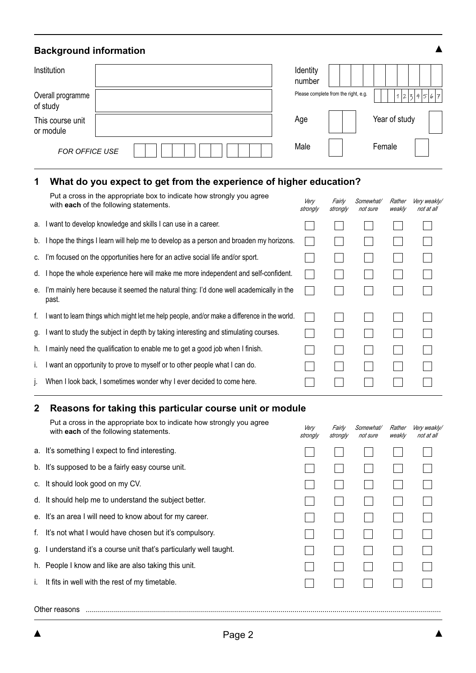# **Background information**

| Institution                   |  | Identity<br>number |                                      |               |         |
|-------------------------------|--|--------------------|--------------------------------------|---------------|---------|
| Overall programme<br>of study |  |                    | Please complete from the right, e.g. |               | 1234567 |
| This course unit<br>or module |  | Age                |                                      | Year of study |         |
| <b>FOR OFFICE USE</b>         |  | Male               |                                      | Female        |         |

## **1 What do you expect to get from the experience of higher education?**

|    | Put a cross in the appropriate box to indicate how strongly you agree<br>with each of the following statements. | Very<br>strongly | Fairly<br>strongly | Somewhat/<br>not sure | Rather<br>weakly | Very weakly/<br>not at all |
|----|-----------------------------------------------------------------------------------------------------------------|------------------|--------------------|-----------------------|------------------|----------------------------|
| а. | I want to develop knowledge and skills I can use in a career.                                                   |                  |                    |                       |                  |                            |
|    | b. I hope the things I learn will help me to develop as a person and broaden my horizons.                       |                  |                    |                       |                  |                            |
| C. | I'm focused on the opportunities here for an active social life and/or sport.                                   |                  |                    |                       |                  |                            |
|    | d. I hope the whole experience here will make me more independent and self-confident.                           |                  |                    |                       |                  |                            |
| е. | I'm mainly here because it seemed the natural thing: I'd done well academically in the<br>past.                 |                  |                    |                       |                  |                            |
| f. | I want to learn things which might let me help people, and/or make a difference in the world.                   |                  |                    |                       |                  |                            |
| g. | I want to study the subject in depth by taking interesting and stimulating courses.                             |                  |                    |                       |                  |                            |
| h. | I mainly need the qualification to enable me to get a good job when I finish.                                   |                  |                    |                       |                  |                            |
| ı. | I want an opportunity to prove to myself or to other people what I can do.                                      |                  |                    |                       |                  |                            |
| Ŀ. | When I look back, I sometimes wonder why I ever decided to come here.                                           |                  |                    |                       |                  |                            |
|    |                                                                                                                 |                  |                    |                       |                  |                            |

# **2 Reasons for taking this particular course unit or module**

|    | Put a cross in the appropriate box to indicate how strongly you agree<br>with each of the following statements. | Very<br>strongly | Fairly<br>strongly | <i>Somewhat/</i><br>not sure | Rather<br>weakly | Very weakly/<br>not at all |
|----|-----------------------------------------------------------------------------------------------------------------|------------------|--------------------|------------------------------|------------------|----------------------------|
|    | a. It's something I expect to find interesting.                                                                 |                  |                    |                              |                  |                            |
|    | b. It's supposed to be a fairly easy course unit.                                                               |                  |                    |                              |                  |                            |
|    | c. It should look good on my CV.                                                                                |                  |                    |                              |                  |                            |
|    | d. It should help me to understand the subject better.                                                          |                  |                    |                              |                  |                            |
|    | e. It's an area I will need to know about for my career.                                                        |                  |                    |                              |                  |                            |
| f. | It's not what I would have chosen but it's compulsory.                                                          |                  |                    |                              |                  |                            |
| g. | I understand it's a course unit that's particularly well taught.                                                |                  |                    |                              |                  |                            |
|    | h. People I know and like are also taking this unit.                                                            |                  |                    |                              |                  |                            |
|    | It fits in well with the rest of my timetable.                                                                  |                  |                    |                              |                  |                            |
|    |                                                                                                                 |                  |                    |                              |                  |                            |

 $\blacktriangle$ 

Other reasons .................................................................................................................................................................................

 $\blacktriangle$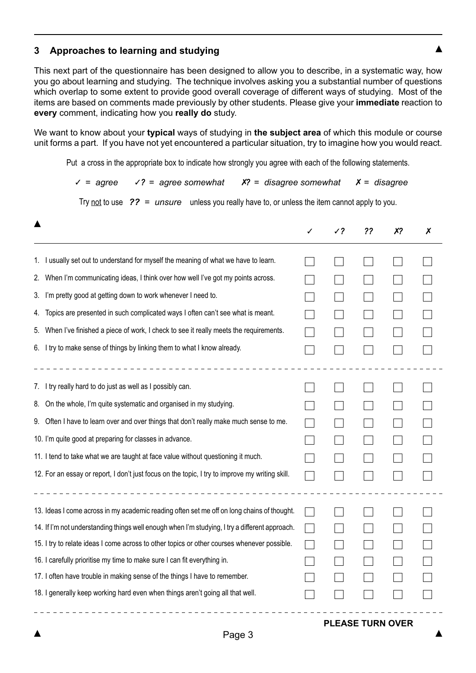## **3 Approaches to learning and studying**

This next part of the questionnaire has been designed to allow you to describe, in a systematic way, how you go about learning and studying. The technique involves asking you a substantial number of questions which overlap to some extent to provide good overall coverage of different ways of studying. Most of the items are based on comments made previously by other students. Please give your **immediate** reaction to **every** comment, indicating how you **really do** study.

We want to know about your **typical** ways of studying in **the subject area** of which this module or course unit forms a part. If you have not yet encountered a particular situation, try to imagine how you would react.

Put a cross in the appropriate box to indicate how strongly you agree with each of the following statements.

✓ *= agree* ✓*? = agree somewhat* ✗*? = disagree somewhat* ✗ *= disagree*

Try not to use *?? = unsure* unless you really have to, or unless the item cannot apply to you.

|                                                                                                                                                                                                                                                                                                                                                                                                                                                                                                                                                                                                             | ر ر | ?? | х? | Х |
|-------------------------------------------------------------------------------------------------------------------------------------------------------------------------------------------------------------------------------------------------------------------------------------------------------------------------------------------------------------------------------------------------------------------------------------------------------------------------------------------------------------------------------------------------------------------------------------------------------------|-----|----|----|---|
| I usually set out to understand for myself the meaning of what we have to learn.<br>1.<br>When I'm communicating ideas, I think over how well I've got my points across.<br>2.<br>I'm pretty good at getting down to work whenever I need to.<br>3.<br>Topics are presented in such complicated ways I often can't see what is meant.<br>4.<br>When I've finished a piece of work, I check to see it really meets the requirements.<br>5.                                                                                                                                                                   |     |    |    |   |
| 6. I try to make sense of things by linking them to what I know already.<br>I try really hard to do just as well as I possibly can.<br>l.<br>On the whole, I'm quite systematic and organised in my studying.<br>8.<br>Often I have to learn over and over things that don't really make much sense to me.<br>9.<br>10. I'm quite good at preparing for classes in advance.<br>11. I tend to take what we are taught at face value without questioning it much.<br>12. For an essay or report, I don't just focus on the topic, I try to improve my writing skill.<br>_ _ _ _ _ _ _ _ _ _ _ _ _ _ _ _ _ _ _ |     |    |    |   |
| 13. Ideas I come across in my academic reading often set me off on long chains of thought.<br>14. If I'm not understanding things well enough when I'm studying, I try a different approach.<br>15. I try to relate ideas I come across to other topics or other courses whenever possible.<br>16. I carefully prioritise my time to make sure I can fit everything in.<br>17. I often have trouble in making sense of the things I have to remember.<br>18. I generally keep working hard even when things aren't going all that well.                                                                     |     |    |    |   |

## **PLEASE TURN OVER**